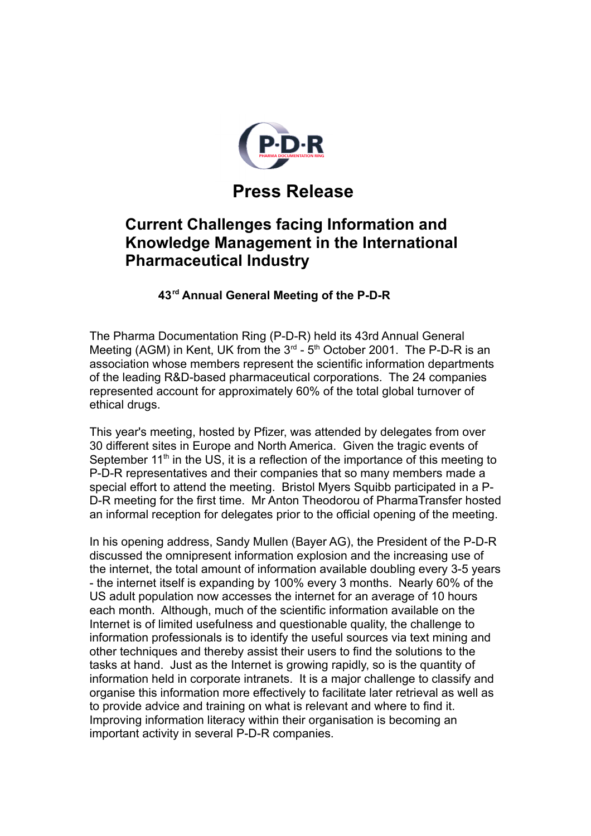

## **Press Release**

## **Current Challenges facing Information and Knowledge Management in the International Pharmaceutical Industry**

 **43rd Annual General Meeting of the P-D-R**

The Pharma Documentation Ring (P-D-R) held its 43rd Annual General Meeting (AGM) in Kent, UK from the  $3<sup>rd</sup>$  -  $5<sup>th</sup>$  October 2001. The P-D-R is an association whose members represent the scientific information departments of the leading R&D-based pharmaceutical corporations. The 24 companies represented account for approximately 60% of the total global turnover of ethical drugs.

This year's meeting, hosted by Pfizer, was attended by delegates from over 30 different sites in Europe and North America. Given the tragic events of September  $11<sup>th</sup>$  in the US, it is a reflection of the importance of this meeting to P-D-R representatives and their companies that so many members made a special effort to attend the meeting. Bristol Myers Squibb participated in a P-D-R meeting for the first time. Mr Anton Theodorou of PharmaTransfer hosted an informal reception for delegates prior to the official opening of the meeting.

In his opening address, Sandy Mullen (Bayer AG), the President of the P-D-R discussed the omnipresent information explosion and the increasing use of the internet, the total amount of information available doubling every 3-5 years - the internet itself is expanding by 100% every 3 months. Nearly 60% of the US adult population now accesses the internet for an average of 10 hours each month. Although, much of the scientific information available on the Internet is of limited usefulness and questionable quality, the challenge to information professionals is to identify the useful sources via text mining and other techniques and thereby assist their users to find the solutions to the tasks at hand. Just as the Internet is growing rapidly, so is the quantity of information held in corporate intranets. It is a major challenge to classify and organise this information more effectively to facilitate later retrieval as well as to provide advice and training on what is relevant and where to find it. Improving information literacy within their organisation is becoming an important activity in several P-D-R companies.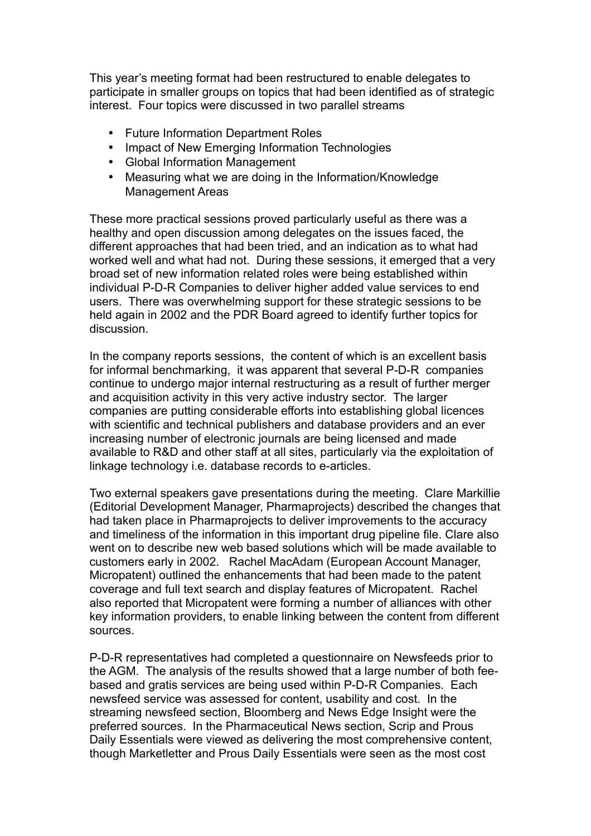This year's meeting format had been restructured to enable delegates to participate in smaller groups on topics that had been identified as of strategic interest. Four topics were discussed in two parallel streams

- Future Information Department Roles
- Impact of New Emerging Information Technologies
- Global Information Management
- Measuring what we are doing in the Information/Knowledge Management Areas

These more practical sessions proved particularly useful as there was a healthy and open discussion among delegates on the issues faced, the different approaches that had been tried, and an indication as to what had worked well and what had not. During these sessions, it emerged that a very broad set of new information related roles were being established within individual P-D-R Companies to deliver higher added value services to end users. There was overwhelming support for these strategic sessions to be held again in 2002 and the PDR Board agreed to identify further topics for discussion.

In the company reports sessions, the content of which is an excellent basis for informal benchmarking, it was apparent that several P-D-R companies continue to undergo major internal restructuring as a result of further merger and acquisition activity in this very active industry sector. The larger companies are putting considerable efforts into establishing global licences with scientific and technical publishers and database providers and an ever increasing number of electronic journals are being licensed and made available to R&D and other staff at all sites, particularly via the exploitation of linkage technology i.e. database records to e-articles.

Two external speakers gave presentations during the meeting. Clare Markillie (Editorial Development Manager, Pharmaprojects) described the changes that had taken place in Pharmaprojects to deliver improvements to the accuracy and timeliness of the information in this important drug pipeline file. Clare also went on to describe new web based solutions which will be made available to customers early in 2002. Rachel MacAdam (European Account Manager, Micropatent) outlined the enhancements that had been made to the patent coverage and full text search and display features of Micropatent. Rachel also reported that Micropatent were forming a number of alliances with other key information providers, to enable linking between the content from different sources.

P-D-R representatives had completed a questionnaire on Newsfeeds prior to the AGM. The analysis of the results showed that a large number of both feebased and gratis services are being used within P-D-R Companies. Each newsfeed service was assessed for content, usability and cost. In the streaming newsfeed section, Bloomberg and News Edge Insight were the preferred sources. In the Pharmaceutical News section, Scrip and Prous Daily Essentials were viewed as delivering the most comprehensive content, though Marketletter and Prous Daily Essentials were seen as the most cost